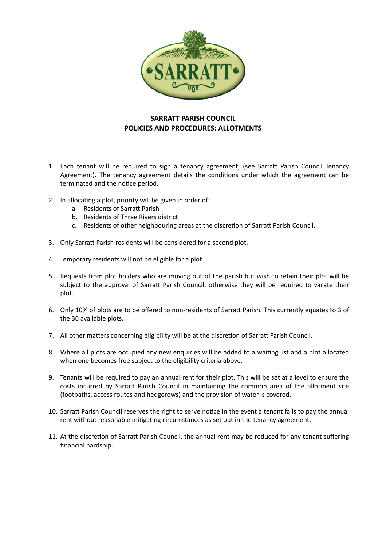

## **SARRATT PARISH COUNCIL POLICIES AND PROCEDURES: ALLOTMENTS**

- 1. Each tenant will be required to sign a tenancy agreement, (see Sarratt Parish Council Tenancy Agreement). The tenancy agreement details the conditions under which the agreement can be terminated and the notice period.
- 2. In allocating a plot, priority will be given in order of:
	- a. Residents of Sarratt Parish
	- b. Residents of Three Rivers district
	- c. Residents of other neighbouring areas at the discretion of Sarratt Parish Council.
- 3. Only Sarratt Parish residents will be considered for a second plot.
- 4. Temporary residents will not be eligible for a plot.
- 5. Requests from plot holders who are moving out of the parish but wish to retain their plot will be subject to the approval of Sarratt Parish Council, otherwise they will be required to vacate their plot.
- 6. Only 10% of plots are to be offered to non-residents of Sarratt Parish. This currently equates to 3 of the 36 available plots.
- 7. All other matters concerning eligibility will be at the discretion of Sarratt Parish Council.
- 8. Where all plots are occupied any new enquiries will be added to a waiting list and a plot allocated when one becomes free subject to the eligibility criteria above.
- 9. Tenants will be required to pay an annual rent for their plot. This will be set at a level to ensure the costs incurred by Sarratt Parish Council in maintaining the common area of the allotment site (footbaths, access routes and hedgerows) and the provision of water is covered.
- 10. Sarratt Parish Council reserves the right to serve notice in the event a tenant fails to pay the annual rent without reasonable mitigating circumstances as set out in the tenancy agreement.
- 11. At the discretion of Sarratt Parish Council, the annual rent may be reduced for any tenant suffering financial hardship.